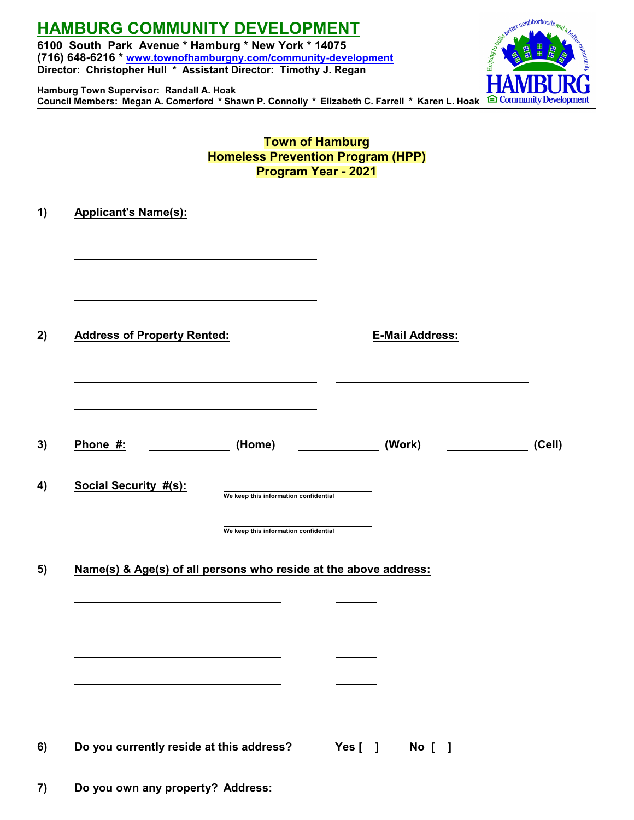# **HAMBURG COMMUNITY DEVELOPMENT**

**Hamburg Town Supervisor: Randall A. Hoak**

**6100 South Park Avenue \* Hamburg \* New York \* 14075 (716) 648-6216 \* [www.townofhamburgny.com/community-development](http://www.townofhamburgny.com/cdbg) Director: Christopher Hull \* Assistant Director: Timothy J. Regan**



**Town of Hamburg Homeless Prevention Program (HPP) Program Year - 2021**

| <b>Address of Property Rented:</b> |                                                                                | <b>E-Mail Address:</b> |        |
|------------------------------------|--------------------------------------------------------------------------------|------------------------|--------|
| Phone #:                           | (Home)                                                                         | (Work)                 | (Cell) |
| <b>Social Security #(s):</b>       | We keep this information confidential<br>We keep this information confidential |                        |        |
|                                    |                                                                                |                        |        |
|                                    | Name(s) & Age(s) of all persons who reside at the above address:               |                        |        |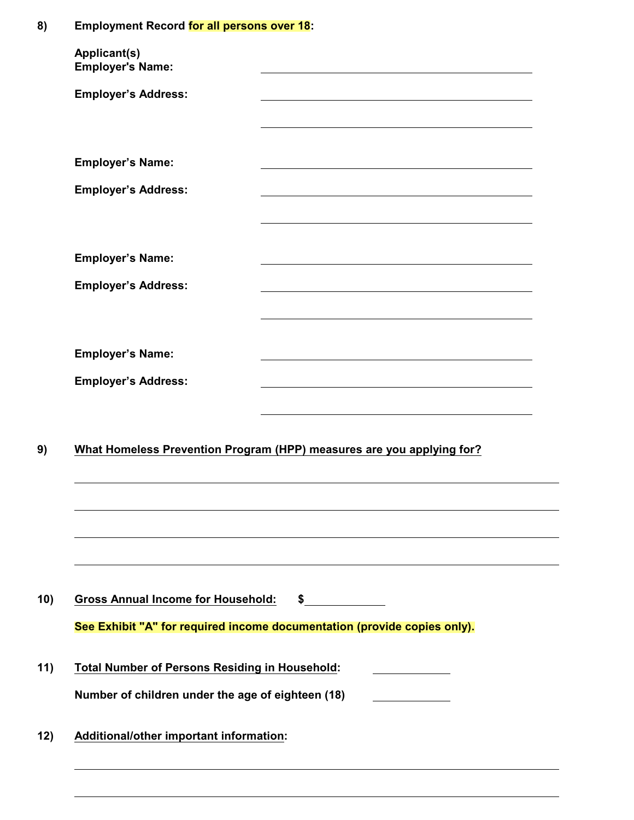# **8) Employment Record for all persons over 18:**

| <b>Applicant(s)</b><br><b>Employer's Name:</b>        |                                                                                                                                                                                                                               |
|-------------------------------------------------------|-------------------------------------------------------------------------------------------------------------------------------------------------------------------------------------------------------------------------------|
| <b>Employer's Address:</b>                            |                                                                                                                                                                                                                               |
|                                                       |                                                                                                                                                                                                                               |
| <b>Employer's Name:</b>                               |                                                                                                                                                                                                                               |
| <b>Employer's Address:</b>                            | the control of the control of the control of the control of the control of the control of the control of the control of the control of the control of the control of the control of the control of the control of the control |
|                                                       |                                                                                                                                                                                                                               |
| <b>Employer's Name:</b>                               |                                                                                                                                                                                                                               |
| <b>Employer's Address:</b>                            |                                                                                                                                                                                                                               |
|                                                       |                                                                                                                                                                                                                               |
| <b>Employer's Name:</b>                               |                                                                                                                                                                                                                               |
| <b>Employer's Address:</b>                            |                                                                                                                                                                                                                               |
|                                                       |                                                                                                                                                                                                                               |
|                                                       | What Homeless Prevention Program (HPP) measures are you applying for?                                                                                                                                                         |
|                                                       |                                                                                                                                                                                                                               |
|                                                       |                                                                                                                                                                                                                               |
|                                                       |                                                                                                                                                                                                                               |
|                                                       |                                                                                                                                                                                                                               |
| <b>Gross Annual Income for Household:</b>             | $\frac{1}{2}$                                                                                                                                                                                                                 |
|                                                       | See Exhibit "A" for required income documentation (provide copies only).                                                                                                                                                      |
| <b>Total Number of Persons Residing in Household:</b> | <u> 1980 - Johann Barbara, martxa a</u>                                                                                                                                                                                       |
| Number of children under the age of eighteen (18)     |                                                                                                                                                                                                                               |
|                                                       |                                                                                                                                                                                                                               |
| <b>Additional/other important information:</b>        |                                                                                                                                                                                                                               |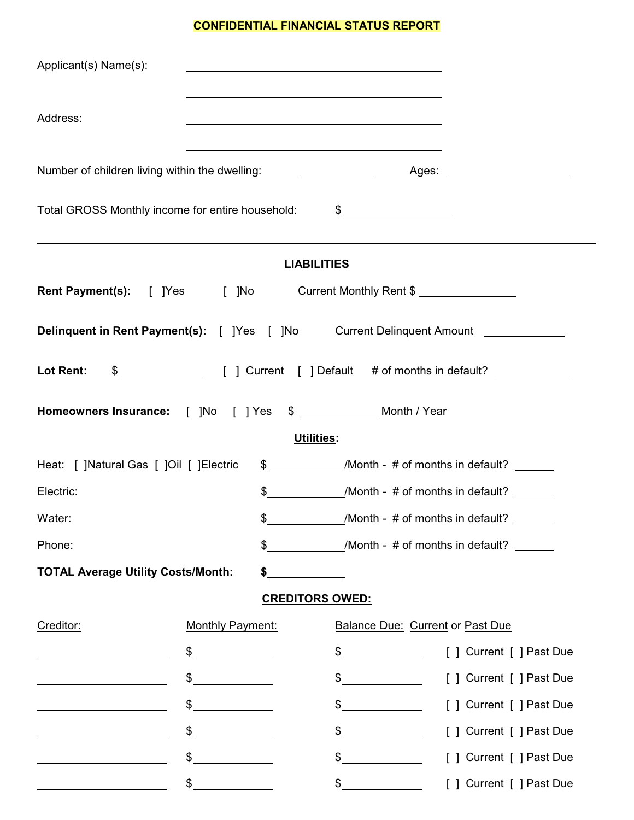# **CONFIDENTIAL FINANCIAL STATUS REPORT**

| Applicant(s) Name(s):                                                                                                |                                                                                                                                                                                                                                                                                                                                                                                                                                 |                                                                                                                                                                                                                                                                                                                                                                                                                                 |                          |
|----------------------------------------------------------------------------------------------------------------------|---------------------------------------------------------------------------------------------------------------------------------------------------------------------------------------------------------------------------------------------------------------------------------------------------------------------------------------------------------------------------------------------------------------------------------|---------------------------------------------------------------------------------------------------------------------------------------------------------------------------------------------------------------------------------------------------------------------------------------------------------------------------------------------------------------------------------------------------------------------------------|--------------------------|
| Address:                                                                                                             |                                                                                                                                                                                                                                                                                                                                                                                                                                 |                                                                                                                                                                                                                                                                                                                                                                                                                                 |                          |
| Number of children living within the dwelling:                                                                       |                                                                                                                                                                                                                                                                                                                                                                                                                                 | the control of the control of the control of the control of the control of the control of the control of the control of the control of the control of the control of the control of the control of the control of the control                                                                                                                                                                                                   |                          |
| Total GROSS Monthly income for entire household:                                                                     |                                                                                                                                                                                                                                                                                                                                                                                                                                 | $\frac{1}{2}$                                                                                                                                                                                                                                                                                                                                                                                                                   |                          |
|                                                                                                                      |                                                                                                                                                                                                                                                                                                                                                                                                                                 | ,我们也不会有什么。""我们的人,我们也不会有什么?""我们的人,我们也不会有什么?""我们的人,我们也不会有什么?""我们的人,我们也不会有什么?""我们的人<br><b>LIABILITIES</b>                                                                                                                                                                                                                                                                                                                          |                          |
| Rent Payment(s): [ ]Yes [ ]No Current Monthly Rent \$                                                                |                                                                                                                                                                                                                                                                                                                                                                                                                                 |                                                                                                                                                                                                                                                                                                                                                                                                                                 |                          |
| Delinquent in Rent Payment(s): [ ]Yes [ ]No Current Delinquent Amount __________                                     |                                                                                                                                                                                                                                                                                                                                                                                                                                 |                                                                                                                                                                                                                                                                                                                                                                                                                                 |                          |
|                                                                                                                      |                                                                                                                                                                                                                                                                                                                                                                                                                                 |                                                                                                                                                                                                                                                                                                                                                                                                                                 |                          |
| Homeowners Insurance: [ ]No   [ ] Yes \$ ____________ Month / Year                                                   |                                                                                                                                                                                                                                                                                                                                                                                                                                 |                                                                                                                                                                                                                                                                                                                                                                                                                                 |                          |
|                                                                                                                      |                                                                                                                                                                                                                                                                                                                                                                                                                                 | <b>Utilities:</b>                                                                                                                                                                                                                                                                                                                                                                                                               |                          |
| Heat: [ ]Natural Gas [ ]Oil [ ]Electric                                                                              |                                                                                                                                                                                                                                                                                                                                                                                                                                 | \$ /Month - # of months in default?                                                                                                                                                                                                                                                                                                                                                                                             |                          |
| Electric:                                                                                                            |                                                                                                                                                                                                                                                                                                                                                                                                                                 | \$ /Month - # of months in default?                                                                                                                                                                                                                                                                                                                                                                                             |                          |
| Water:                                                                                                               | \$                                                                                                                                                                                                                                                                                                                                                                                                                              | /Month - # of months in default?                                                                                                                                                                                                                                                                                                                                                                                                |                          |
| Phone:                                                                                                               | \$                                                                                                                                                                                                                                                                                                                                                                                                                              | /Month - # of months in default?                                                                                                                                                                                                                                                                                                                                                                                                |                          |
| <b>TOTAL Average Utility Costs/Month:</b>                                                                            | \$                                                                                                                                                                                                                                                                                                                                                                                                                              |                                                                                                                                                                                                                                                                                                                                                                                                                                 |                          |
|                                                                                                                      |                                                                                                                                                                                                                                                                                                                                                                                                                                 | <b>CREDITORS OWED:</b>                                                                                                                                                                                                                                                                                                                                                                                                          |                          |
| Creditor:                                                                                                            | Monthly Payment:                                                                                                                                                                                                                                                                                                                                                                                                                | <b>Balance Due: Current or Past Due</b>                                                                                                                                                                                                                                                                                                                                                                                         |                          |
|                                                                                                                      | $\begin{array}{c c} \uparrow \end{array}$                                                                                                                                                                                                                                                                                                                                                                                       | $\frac{1}{2}$                                                                                                                                                                                                                                                                                                                                                                                                                   | [ ] Current [ ] Past Due |
| <u> Alexandria de la contrada de la contrada de la contrada de la contrada de la contrada de la contrada de la c</u> | $\frac{1}{\sqrt{1-\frac{1}{2}}}\frac{1}{\sqrt{1-\frac{1}{2}}}\frac{1}{\sqrt{1-\frac{1}{2}}}\frac{1}{\sqrt{1-\frac{1}{2}}}\frac{1}{\sqrt{1-\frac{1}{2}}}\frac{1}{\sqrt{1-\frac{1}{2}}}\frac{1}{\sqrt{1-\frac{1}{2}}}\frac{1}{\sqrt{1-\frac{1}{2}}}\frac{1}{\sqrt{1-\frac{1}{2}}}\frac{1}{\sqrt{1-\frac{1}{2}}}\frac{1}{\sqrt{1-\frac{1}{2}}}\frac{1}{\sqrt{1-\frac{1}{2}}}\frac{1}{\sqrt{1-\frac{1}{2}}}\frac{1}{\sqrt{1-\frac{$ | $\frac{1}{\sqrt{1-\frac{1}{2}}}\frac{1}{\sqrt{1-\frac{1}{2}}}\frac{1}{\sqrt{1-\frac{1}{2}}}\frac{1}{\sqrt{1-\frac{1}{2}}}\frac{1}{\sqrt{1-\frac{1}{2}}}\frac{1}{\sqrt{1-\frac{1}{2}}}\frac{1}{\sqrt{1-\frac{1}{2}}}\frac{1}{\sqrt{1-\frac{1}{2}}}\frac{1}{\sqrt{1-\frac{1}{2}}}\frac{1}{\sqrt{1-\frac{1}{2}}}\frac{1}{\sqrt{1-\frac{1}{2}}}\frac{1}{\sqrt{1-\frac{1}{2}}}\frac{1}{\sqrt{1-\frac{1}{2}}}\frac{1}{\sqrt{1-\frac{$ | [ ] Current [ ] Past Due |
| <u> 1989 - Johann Barbara, martin amerikan ba</u>                                                                    | $\begin{array}{c c} \uparrow \end{array}$                                                                                                                                                                                                                                                                                                                                                                                       | $\frac{1}{\sqrt{1-\frac{1}{2}}}\frac{1}{\sqrt{1-\frac{1}{2}}}\frac{1}{\sqrt{1-\frac{1}{2}}}\frac{1}{\sqrt{1-\frac{1}{2}}}\frac{1}{\sqrt{1-\frac{1}{2}}}\frac{1}{\sqrt{1-\frac{1}{2}}}\frac{1}{\sqrt{1-\frac{1}{2}}}\frac{1}{\sqrt{1-\frac{1}{2}}}\frac{1}{\sqrt{1-\frac{1}{2}}}\frac{1}{\sqrt{1-\frac{1}{2}}}\frac{1}{\sqrt{1-\frac{1}{2}}}\frac{1}{\sqrt{1-\frac{1}{2}}}\frac{1}{\sqrt{1-\frac{1}{2}}}\frac{1}{\sqrt{1-\frac{$ | [ ] Current [ ] Past Due |
|                                                                                                                      | \$                                                                                                                                                                                                                                                                                                                                                                                                                              | $\frac{1}{\sqrt{2}}$                                                                                                                                                                                                                                                                                                                                                                                                            | [ ] Current [ ] Past Due |
|                                                                                                                      | \$<br><u>and the community of the community of the community of the community of the community of the community of the community of the community of the community of the community of the community of the community of the community</u>                                                                                                                                                                                      | $\mathcal{L}$                                                                                                                                                                                                                                                                                                                                                                                                                   | [ ] Current [ ] Past Due |
|                                                                                                                      | $\frac{1}{2}$                                                                                                                                                                                                                                                                                                                                                                                                                   | $\sim$                                                                                                                                                                                                                                                                                                                                                                                                                          | [ ] Current [ ] Past Due |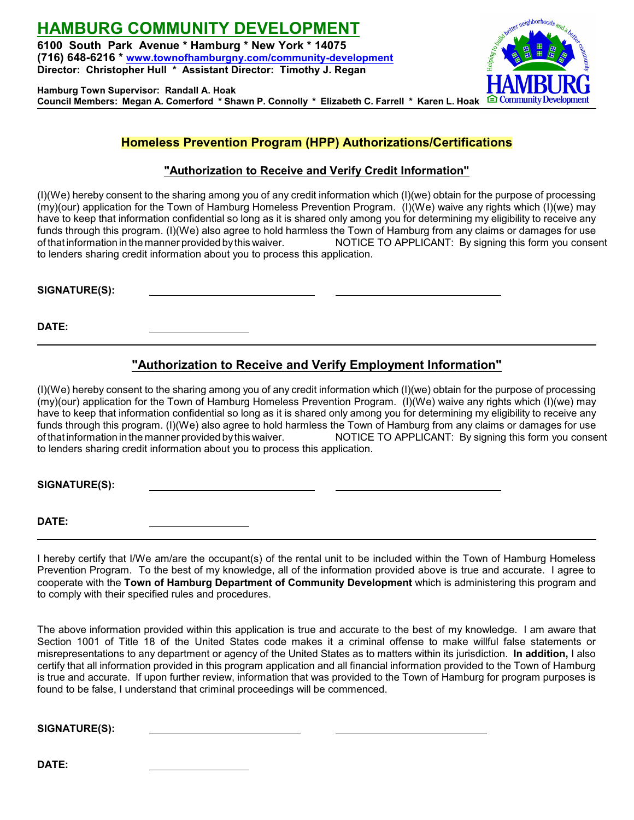**HAMBURG COMMUNITY DEVELOPMENT 6100 South Park Avenue \* Hamburg \* New York \* 14075 (716) 648-6216 \* [www.townofhamburgny.com/community-development](http://www.townofhamburgny.com/cdbg) Director: Christopher Hull \* Assistant Director: Timothy J. Regan**

**Hamburg Town Supervisor: Randall A. Hoak Council Members: Megan A. Comerford \* Shawn P. Connolly \* Elizabeth C. Farrell \* Karen L. Hoak**



# **Homeless Prevention Program (HPP) Authorizations/Certifications**

## **"Authorization to Receive and Verify Credit Information"**

(I)(We) hereby consent to the sharing among you of any credit information which (I)(we) obtain for the purpose of processing (my)(our) application for the Town of Hamburg Homeless Prevention Program. (I)(We) waive any rights which (I)(we) may have to keep that information confidential so long as it is shared only among you for determining my eligibility to receive any funds through this program. (I)(We) also agree to hold harmless the Town of Hamburg from any claims or damages for use of that information in the manner provided bythis waiver. NOTICE TO APPLICANT: By signing this form you consent to lenders sharing credit information about you to process this application.

**SIGNATURE(S):** 

**DATE:** 

# **"Authorization to Receive and Verify Employment Information"**

(I)(We) hereby consent to the sharing among you of any credit information which (I)(we) obtain for the purpose of processing (my)(our) application for the Town of Hamburg Homeless Prevention Program. (I)(We) waive any rights which (I)(we) may have to keep that information confidential so long as it is shared only among you for determining my eligibility to receive any funds through this program. (I)(We) also agree to hold harmless the Town of Hamburg from any claims or damages for use of that information in the manner provided bythis waiver. NOTICE TO APPLICANT: By signing this form you consent to lenders sharing credit information about you to process this application.

**SIGNATURE(S):** 

**DATE:** 

I hereby certify that I/We am/are the occupant(s) of the rental unit to be included within the Town of Hamburg Homeless Prevention Program. To the best of my knowledge, all of the information provided above is true and accurate. I agree to cooperate with the **Town of Hamburg Department of Community Development** which is administering this program and to comply with their specified rules and procedures.

The above information provided within this application is true and accurate to the best of my knowledge. I am aware that Section 1001 of Title 18 of the United States code makes it a criminal offense to make willful false statements or misrepresentations to any department or agency of the United States as to matters within its jurisdiction. **In addition,** I also certify that all information provided in this program application and all financial information provided to the Town of Hamburg is true and accurate. If upon further review, information that was provided to the Town of Hamburg for program purposes is found to be false, I understand that criminal proceedings will be commenced.

**SIGNATURE(S):** 

**DATE:**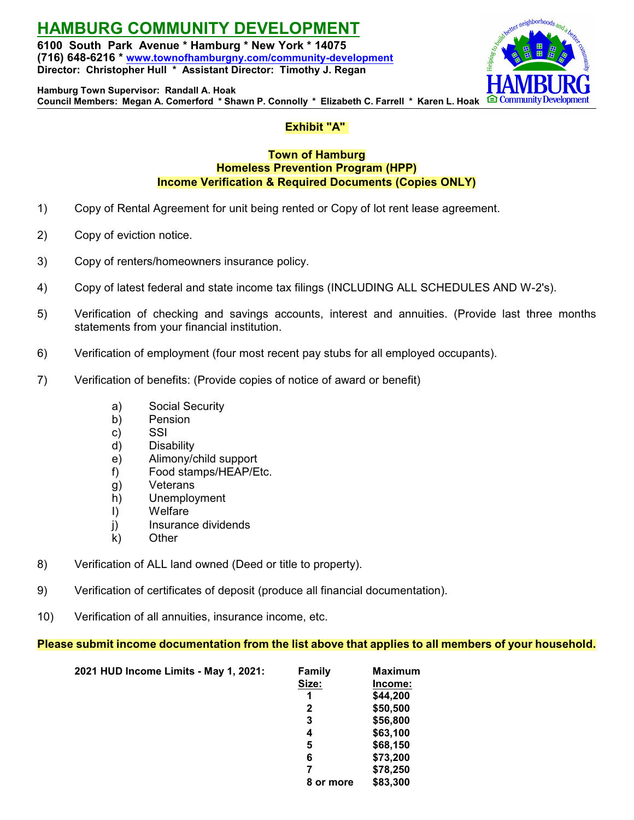**HAMBURG COMMUNITY DEVELOPMENT 6100 South Park Avenue \* Hamburg \* New York \* 14075**

**(716) 648-6216 \* [www.townofhamburgny.com/community-development](http://www.townofhamburgny.com/cdbg) Director: Christopher Hull \* Assistant Director: Timothy J. Regan**



**Hamburg Town Supervisor: Randall A. Hoak Council Members: Megan A. Comerford \* Shawn P. Connolly \* Elizabeth C. Farrell \* Karen L. Hoak**

## **Exhibit "A"**

### **Town of Hamburg Homeless Prevention Program (HPP) Income Verification & Required Documents (Copies ONLY)**

- 1) Copy of Rental Agreement for unit being rented or Copy of lot rent lease agreement.
- 2) Copy of eviction notice.
- 3) Copy of renters/homeowners insurance policy.
- 4) Copy of latest federal and state income tax filings (INCLUDING ALL SCHEDULES AND W-2's).
- 5) Verification of checking and savings accounts, interest and annuities. (Provide last three months statements from your financial institution.
- 6) Verification of employment (four most recent pay stubs for all employed occupants).
- 7) Verification of benefits: (Provide copies of notice of award or benefit)
	- a) Social Security
	- b) Pension
	- c) SSI
	- d) Disability
	- e) Alimony/child support
	- f) Food stamps/HEAP/Etc.
	- g) Veterans
	- h) Unemployment
	- I) Welfare
	- j) Insurance dividends
	- k) Other
- 8) Verification of ALL land owned (Deed or title to property).
- 9) Verification of certificates of deposit (produce all financial documentation).
- 10) Verification of all annuities, insurance income, etc.

## **Please submit income documentation from the list above that applies to all members of your household.**

| 2021 HUD Income Limits - May 1, 2021: | <b>Family</b> | <b>Maximum</b> |
|---------------------------------------|---------------|----------------|
|                                       | Size:         | Income:        |
|                                       | 1             | \$44,200       |
|                                       | 2             | \$50,500       |
|                                       | 3             | \$56,800       |
|                                       | 4             | \$63,100       |
|                                       | 5             | \$68,150       |
|                                       | 6             | \$73,200       |
|                                       | 7             | \$78,250       |
|                                       | 8 or more     | \$83,300       |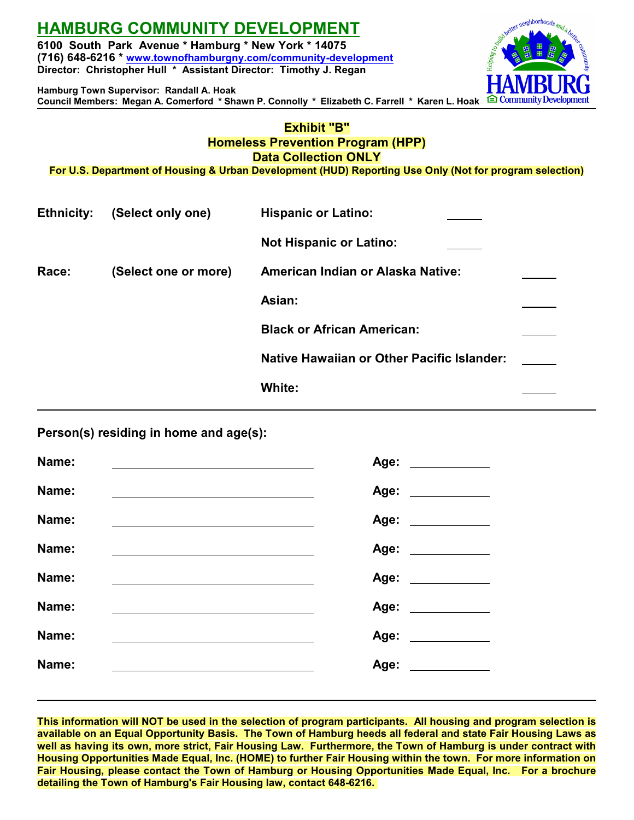# **HAMBURG COMMUNITY DEVELOPMENT**

**6100 South Park Avenue \* Hamburg \* New York \* 14075 (716) 648-6216 \* [www.townofhamburgny.com/community-development](http://www.townofhamburgny.com/cdbg) Director: Christopher Hull \* Assistant Director: Timothy J. Regan**

stter neighborhoods **∈ Community** 

**Hamburg Town Supervisor: Randall A. Hoak Council Members: Megan A. Comerford \* Shawn P. Connolly \* Elizabeth C. Farrell \* Karen L. Hoak**

### **Exhibit "B" Homeless Prevention Program (HPP) Data Collection ONLY**

**For U.S. Department of Housing & Urban Development (HUD) Reporting Use Only (Not for program selection)**

| <b>Ethnicity:</b> | (Select only one)    | <b>Hispanic or Latino:</b>                        |  |
|-------------------|----------------------|---------------------------------------------------|--|
|                   |                      | <b>Not Hispanic or Latino:</b>                    |  |
| Race:             | (Select one or more) | <b>American Indian or Alaska Native:</b>          |  |
|                   |                      | Asian:                                            |  |
|                   |                      | <b>Black or African American:</b>                 |  |
|                   |                      | <b>Native Hawaiian or Other Pacific Islander:</b> |  |
|                   |                      | White:                                            |  |

**Person(s) residing in home and age(s):**

| Name: | Age: ___________   |
|-------|--------------------|
| Name: | Age: ___________   |
| Name: | Age: ___________   |
| Name: | Age: _______       |
| Name: | Age: ____________  |
| Name: |                    |
| Name: | Age: _____________ |
| Name: |                    |
|       |                    |

**This information will NOT be used in the selection of program participants. All housing and program selection is available on an Equal Opportunity Basis. The Town of Hamburg heeds all federal and state Fair Housing Laws as well as having its own, more strict, Fair Housing Law. Furthermore, the Town of Hamburg is under contract with Housing Opportunities Made Equal, Inc. (HOME) to further Fair Housing within the town. For more information on Fair Housing, please contact the Town of Hamburg or Housing Opportunities Made Equal, Inc. For a brochure detailing the Town of Hamburg's Fair Housing law, contact 648-6216.**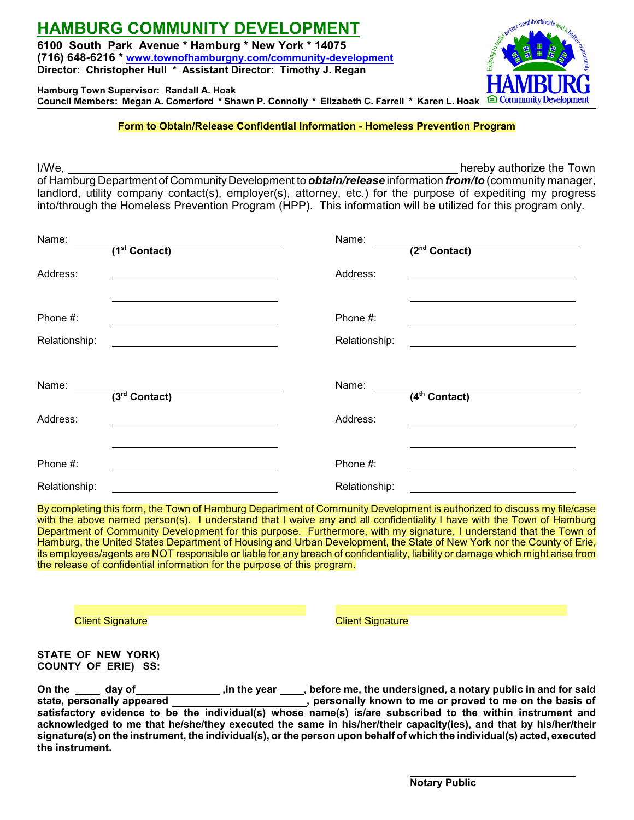# **HAMBURG COMMUNITY DEVELOPMENT**

**6100 South Park Avenue \* Hamburg \* New York \* 14075 (716) 648-6216 \* [www.townofhamburgny.com/community-development](http://www.townofhamburgny.com/cdbg) Director: Christopher Hull \* Assistant Director: Timothy J. Regan**

**Hamburg Town Supervisor: Randall A. Hoak Council Members: Megan A. Comerford \* Shawn P. Connolly \* Elizabeth C. Farrell \* Karen L. Hoak**

### **Form to Obtain/Release Confidential Information - Homeless Prevention Program**

I/We, hereby authorize the Town

of Hamburg Department of Community Development to *obtain/release* information *from/to* (community manager, landlord, utility company contact(s), employer(s), attorney, etc.) for the purpose of expediting my progress into/through the Homeless Prevention Program (HPP). This information will be utilized for this program only.

| Name:                     | $\overline{(1^{st}$ Contact) | Name:                     | $(2nd$ Contact)           |
|---------------------------|------------------------------|---------------------------|---------------------------|
| Address:                  |                              | Address:                  |                           |
| Phone #:<br>Relationship: |                              | Phone #:<br>Relationship: |                           |
| Name:                     | $\overline{3^{rd}$ Contact)  | Name:                     | (4 <sup>th</sup> Contact) |
| Address:                  |                              | Address:                  |                           |
| Phone #:                  |                              | Phone #:                  |                           |
| Relationship:             |                              | Relationship:             |                           |

By completing this form, the Town of Hamburg Department of Community Development is authorized to discuss my file/case with the above named person(s). I understand that I waive any and all confidentiality I have with the Town of Hamburg Department of Community Development for this purpose. Furthermore, with my signature, I understand that the Town of Hamburg, the United States Department of Housing and Urban Development, the State of New York nor the County of Erie, its employees/agents are NOT responsible or liable for any breach of confidentiality, liability or damage which might arise from the release of confidential information for the purpose of this program.

**Client Signature** Client Signature Client Signature

#### **STATE OF NEW YORK) COUNTY OF ERIE) SS:**

On the \_\_\_\_\_ day of\_\_\_\_\_\_\_\_\_\_\_\_\_\_\_\_\_\_\_\_,in the year \_\_\_\_\_, before me, the undersigned, a notary public in and for said<br>state, personally appeared **the interpared**, personally known to me or proved to me on the basis of  $\overline{\phantom{a}}$ , personally known to me or proved to me on the basis of **satisfactory evidence to be the individual(s) whose name(s) is/are subscribed to the within instrument and acknowledged to me that he/she/they executed the same in his/her/their capacity(ies), and that by his/her/their signature(s) on the instrument, the individual(s), or the person upon behalf of which the individual(s) acted, executed the instrument.**

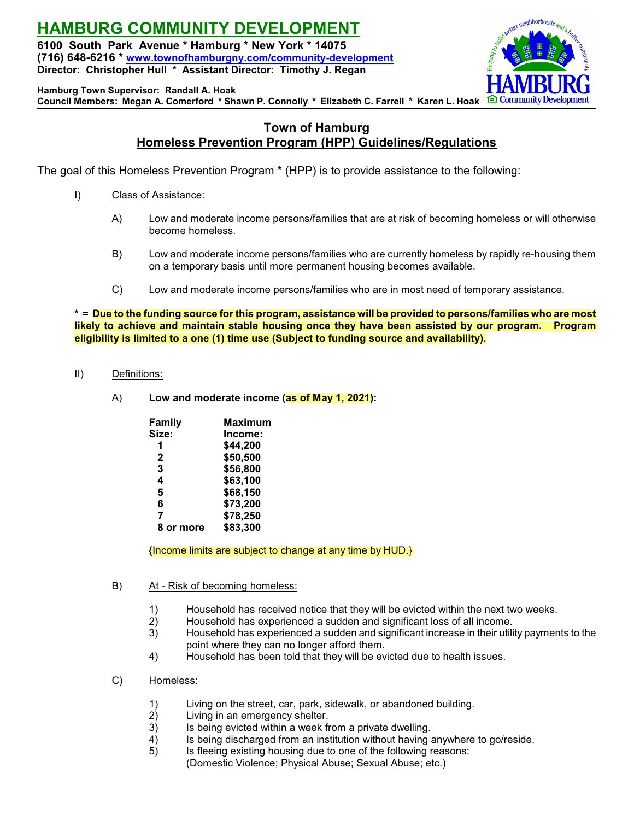**HAMBURG COMMUNITY DEVELOPMENT 6100 South Park Avenue \* Hamburg \* New York \* 14075 (716) 648-6216 \* [www.townofhamburgny.com/community-development](http://www.townofhamburgny.com/cdbg) Director: Christopher Hull \* Assistant Director: Timothy J. Regan**



**Hamburg Town Supervisor: Randall A. Hoak**

**Council Members: Megan A. Comerford \* Shawn P. Connolly \* Elizabeth C. Farrell \* Karen L. Hoak**

### **Town of Hamburg Homeless Prevention Program (HPP) Guidelines/Regulations**

The goal of this Homeless Prevention Program **\*** (HPP) is to provide assistance to the following:

- I) Class of Assistance:
	- A) Low and moderate income persons/families that are at risk of becoming homeless or will otherwise become homeless.
	- B) Low and moderate income persons/families who are currently homeless by rapidly re-housing them on a temporary basis until more permanent housing becomes available.
	- C) Low and moderate income persons/families who are in most need of temporary assistance.

**\* = Due to the funding source for this program, assistance will be provided to persons/families who are most likely to achieve and maintain stable housing once they have been assisted by our program. Program eligibility is limited to a one (1) time use (Subject to funding source and availability).**

- II) Definitions:
	- A) **Low and moderate income (as of May 1, 2021):**

| Family    | Maximum  |
|-----------|----------|
| Size:     | Income:  |
| 1         | \$44,200 |
| 2         | \$50,500 |
| 3         | \$56,800 |
| 4         | \$63,100 |
| 5         | \$68,150 |
| 6         | \$73,200 |
| 7         | \$78,250 |
| 8 or more | \$83,300 |
|           |          |

{Income limits are subject to change at any time by HUD.}

- B) At Risk of becoming homeless:
	- 1) Household has received notice that they will be evicted within the next two weeks.
	- 2) Household has experienced a sudden and significant loss of all income.
	- 3) Household has experienced a sudden and significant increase in their utility payments to the point where they can no longer afford them.
	- 4) Household has been told that they will be evicted due to health issues.
- C) Homeless:
	- 1) Living on the street, car, park, sidewalk, or abandoned building.<br>2) Living in an emergency shelter.
	- Living in an emergency shelter.
	- 3) Is being evicted within a week from a private dwelling.
	- 4) Is being discharged from an institution without having anywhere to go/reside.<br>5) Is fleeing existing housing due to one of the following reasons:
	- Is fleeing existing housing due to one of the following reasons: (Domestic Violence; Physical Abuse; Sexual Abuse; etc.)